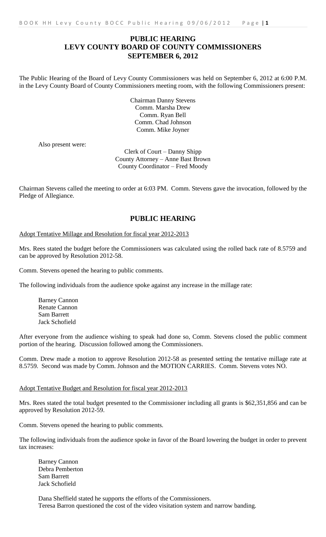## **PUBLIC HEARING LEVY COUNTY BOARD OF COUNTY COMMISSIONERS SEPTEMBER 6, 2012**

The Public Hearing of the Board of Levy County Commissioners was held on September 6, 2012 at 6:00 P.M. in the Levy County Board of County Commissioners meeting room, with the following Commissioners present:

> Chairman Danny Stevens Comm. Marsha Drew Comm. Ryan Bell Comm. Chad Johnson Comm. Mike Joyner

Also present were:

Clerk of Court – Danny Shipp County Attorney – Anne Bast Brown County Coordinator – Fred Moody

Chairman Stevens called the meeting to order at 6:03 PM. Comm. Stevens gave the invocation, followed by the Pledge of Allegiance.

## **PUBLIC HEARING**

## Adopt Tentative Millage and Resolution for fiscal year 2012-2013

Mrs. Rees stated the budget before the Commissioners was calculated using the rolled back rate of 8.5759 and can be approved by Resolution 2012-58.

Comm. Stevens opened the hearing to public comments.

The following individuals from the audience spoke against any increase in the millage rate:

Barney Cannon Renate Cannon Sam Barrett Jack Schofield

After everyone from the audience wishing to speak had done so, Comm. Stevens closed the public comment portion of the hearing. Discussion followed among the Commissioners.

Comm. Drew made a motion to approve Resolution 2012-58 as presented setting the tentative millage rate at 8.5759. Second was made by Comm. Johnson and the MOTION CARRIES. Comm. Stevens votes NO.

## Adopt Tentative Budget and Resolution for fiscal year 2012-2013

Mrs. Rees stated the total budget presented to the Commissioner including all grants is \$62,351,856 and can be approved by Resolution 2012-59.

Comm. Stevens opened the hearing to public comments.

The following individuals from the audience spoke in favor of the Board lowering the budget in order to prevent tax increases:

Barney Cannon Debra Pemberton Sam Barrett Jack Schofield

Dana Sheffield stated he supports the efforts of the Commissioners. Teresa Barron questioned the cost of the video visitation system and narrow banding.